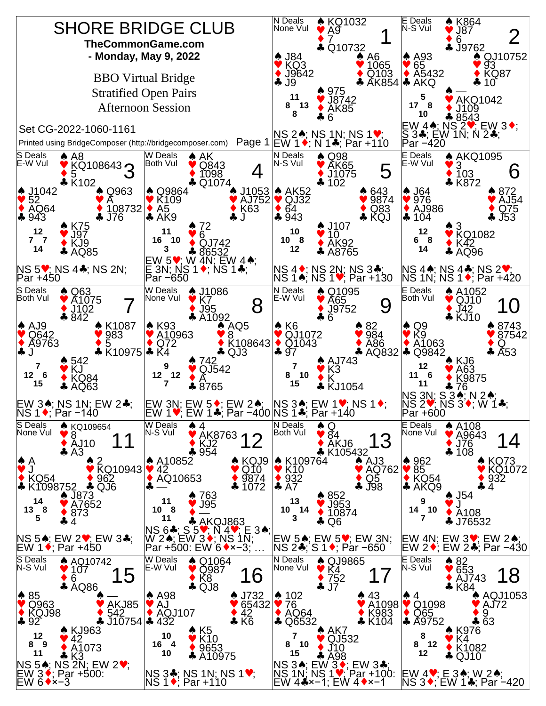